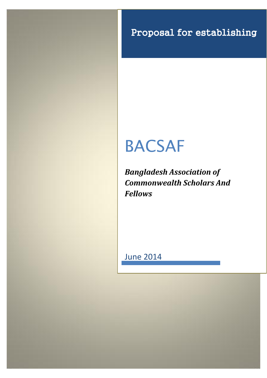Proposal for establishing

# BACSAF

*Bangladesh Association of Commonwealth Scholars And Fellows*

June 2014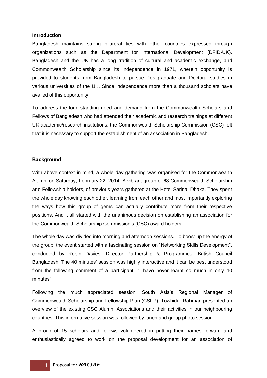#### **Introduction**

Bangladesh maintains strong bilateral ties with other countries expressed through organizations such as the Department for International Development (DFID-UK). Bangladesh and the UK has a long tradition of cultural and academic exchange, and Commonwealth Scholarship since its independence in 1971, wherein opportunity is provided to students from Bangladesh to pursue Postgraduate and Doctoral studies in various universities of the UK. Since independence more than a thousand scholars have availed of this opportunity.

To address the long-standing need and demand from the Commonwealth Scholars and Fellows of Bangladesh who had attended their academic and research trainings at different UK academic/research institutions, the Commonwealth Scholarship Commission (CSC) felt that it is necessary to support the establishment of an association in Bangladesh.

## **Background**

With above context in mind, a whole day gathering was organised for the Commonwealth Alumni on Saturday, February 22, 2014. A vibrant group of 68 Commonwealth Scholarship and Fellowship holders, of previous years gathered at the Hotel Sarina, Dhaka. They spent the whole day knowing each other, learning from each other and most importantly exploring the ways how this group of gems can actually contribute more from their respective positions. And it all started with the unanimous decision on establishing an association for the Commonwealth Scholarship Commission's (CSC) award holders.

The whole day was divided into morning and afternoon sessions. To boost up the energy of the group, the event started with a fascinating session on "Networking Skills Development", conducted by Robin Davies, Director Partnership & Programmes, British Council Bangladesh. The 40 minutes' session was highly interactive and it can be best understood from the following comment of a participant- "I have never learnt so much in only 40 minutes".

Following the much appreciated session, South Asia's Regional Manager of Commonwealth Scholarship and Fellowship Plan (CSFP), Towhidur Rahman presented an overview of the existing CSC Alumni Associations and their activities in our neighbouring countries. This informative session was followed by lunch and group photo session.

A group of 15 scholars and fellows volunteered in putting their names forward and enthusiastically agreed to work on the proposal development for an association of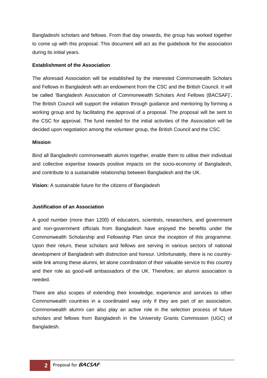Bangladeshi scholars and fellows. From that day onwards, the group has worked together to come up with this proposal. This document will act as the guidebook for the association during its initial years.

## **Establishment of the Association**

The aforesaid Association will be established by the interested Commonwealth Scholars and Fellows in Bangladesh with an endowment from the CSC and the British Council. It will be called 'Bangladesh Association of Commonwealth Scholars And Fellows (BACSAF)'**.**  The British Council will support the initiation through guidance and mentoring by forming a working group and by facilitating the approval of a proposal. The proposal will be sent to the CSC for approval. The fund needed for the initial activities of the Association will be decided upon negotiation among the volunteer group, the British Council and the CSC.

## **Mission**

Bind all Bangladeshi commonwealth alumni together, enable them to utilise their individual and collective expertise towards positive impacts on the socio-economy of Bangladesh, and contribute to a sustainable relationship between Bangladesh and the UK.

**Vision:** A sustainable future for the citizens of Bangladesh

# **Justification of an Association**

A good number (more than 1200) of educators, scientists, researchers, and government and non-government officials from Bangladesh have enjoyed the benefits under the Commonwealth Scholarship and Fellowship Plan since the inception of this programme. Upon their return, these scholars and fellows are serving in various sectors of national development of Bangladesh with distinction and honour. Unfortunately, there is no countrywide link among these alumni, let alone coordination of their valuable service to this country and their role as good-will ambassadors of the UK. Therefore, an alumni association is needed.

There are also scopes of extending their knowledge, experience and services to other Commonwealth countries in a coordinated way only if they are part of an association. Commonwealth alumni can also play an active role in the selection process of future scholars and fellows from Bangladesh in the University Grants Commission (UGC) of Bangladesh.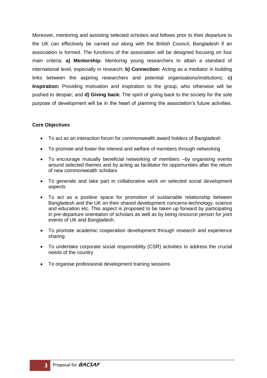Moreover, mentoring and assisting selected scholars and fellows prior to their departure to the UK can effectively be carried out along with the British Council, Bangladesh if an association is formed. The functions of the association will be designed focusing on four main criteria: **a) Mentorship:** Mentoring young researchers to attain a standard of international level, especially in research; **b) Connection:** Acting as a mediator in building links between the aspiring researchers and potential organisations/institutions; **c) Inspiration:** Providing motivation and inspiration to the group, who otherwise will be pushed to despair; and **d) Giving back:** The spirit of giving back to the society for the sole purpose of development will be in the heart of planning the association's future activities.

### **Core Objectives**

- To act as an interaction forum for commonwealth award holders of Bangladesh
- To promote and foster the interest and welfare of members through networking
- To encourage mutually beneficial networking of members –by organising events around selected themes and by acting as facilitator for opportunities after the return of new commonwealth scholars
- To generate and take part in collaborative work on selected social development aspects
- To act as a positive space for promotion of sustainable relationship between Bangladesh and the UK on their shared development concerns-technology, science and education etc. This aspect is proposed to be taken up forward by participating in pre-departure orientation of scholars as well as by being resource person for joint events of UK and Bangladesh.
- To promote academic cooperation development through research and experience sharing
- To undertake corporate social responsibility (CSR) activities to address the crucial needs of the country
- To organise professional development training sessions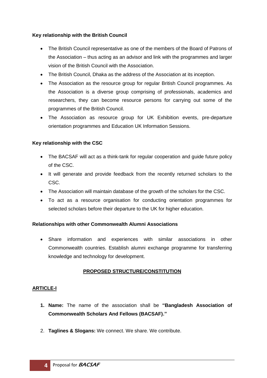# **Key relationship with the British Council**

- The British Council representative as one of the members of the Board of Patrons of the Association – thus acting as an advisor and link with the programmes and larger vision of the British Council with the Association.
- The British Council, Dhaka as the address of the Association at its inception.
- The Association as the resource group for regular British Council programmes. As the Association is a diverse group comprising of professionals, academics and researchers, they can become resource persons for carrying out some of the programmes of the British Council.
- The Association as resource group for UK Exhibition events, pre-departure orientation programmes and Education UK Information Sessions.

# **Key relationship with the CSC**

- The BACSAF will act as a think-tank for regular cooperation and guide future policy of the CSC.
- It will generate and provide feedback from the recently returned scholars to the CSC.
- The Association will maintain database of the growth of the scholars for the CSC.
- To act as a resource organisation for conducting orientation programmes for selected scholars before their departure to the UK for higher education.

# **Relationships with other Commonwealth Alumni Associations**

 Share information and experiences with similar associations in other Commonwealth countries. Establish alumni exchange programme for transferring knowledge and technology for development.

# **PROPOSED STRUCTURE/CONSTITUTION**

# **ARTICLE-I**

- **1. Name:** The name of the association shall be **"Bangladesh Association of Commonwealth Scholars And Fellows (BACSAF)."**
- 2. **Taglines & Slogans:** We connect. We share. We contribute.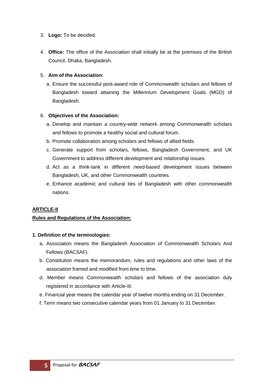- 3. **Logo:** To be decided.
- 4. **Office:** The office of the Association shall initially be at the premises of the British Council, Dhaka, Bangladesh.

## 5. **Aim of the Association:**

a. Ensure the successful post-award role of Commonwealth scholars and fellows of Bangladesh toward attaining the Millennium Development Goals (MGD) of Bangladesh.

## 6. **Objectives of the Association:**

- a. Develop and maintain a country-wide network among Commonwealth scholars and fellows to promote a healthy social and cultural forum.
- b. Promote collaboration among scholars and fellows of allied fields.
- c. Generate support from scholars, fellows, Bangladesh Government, and UK Government to address different development and relationship issues.
- d. Act as a think-tank in different need-based development issues between Bangladesh, UK, and other Commonwealth countries.
- e. Enhance academic and cultural ties of Bangladesh with other commonwealth nations.

# **ARTICLE-II**

### **Rules and Regulations of the Association:**

### **1. Definition of the terminologies:**

- a. Association means the Bangladesh Association of Commonwealth Scholars And Fellows (BACSAF).
- b. Constitution means the memorandum, rules and regulations and other laws of the association framed and modified from time to time.
- d. Member means Commonwealth scholars and fellows of the association duly registered in accordance with Article-III.
- e. Financial year means the calendar year of twelve months ending on 31 December.
- f. Term means two consecutive calendar years from 01 January to 31 December.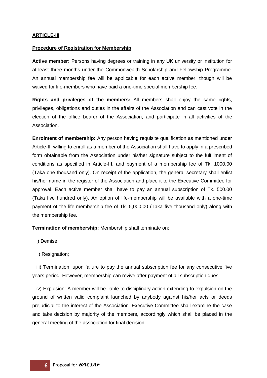### **ARTICLE-III**

#### **Procedure of Registration for Membership**

**Active member:** Persons having degrees or training in any UK university or institution for at least three months under the Commonwealth Scholarship and Fellowship Programme. An annual membership fee will be applicable for each active member; though will be waived for life-members who have paid a one-time special membership fee.

**Rights and privileges of the members:** All members shall enjoy the same rights, privileges, obligations and duties in the affairs of the Association and can cast vote in the election of the office bearer of the Association, and participate in all activities of the Association.

**Enrolment of membership:** Any person having requisite qualification as mentioned under Article-III willing to enroll as a member of the Association shall have to apply in a prescribed form obtainable from the Association under his/her signature subject to the fulfillment of conditions as specified in Article-III, and payment of a membership fee of Tk. 1000.00 (Taka one thousand only). On receipt of the application, the general secretary shall enlist his/her name in the register of the Association and place it to the Executive Committee for approval. Each active member shall have to pay an annual subscription of Tk. 500.00 (Taka five hundred only). An option of life-membership will be available with a one-time payment of the life-membership fee of Tk. 5,000.00 (Taka five thousand only) along with the membership fee.

**Termination of membership:** Membership shall terminate on:

i) Demise;

ii) Resignation;

 iii) Termination, upon failure to pay the annual subscription fee for any consecutive five years period. However, membership can revive after payment of all subscription dues;

 iv) Expulsion: A member will be liable to disciplinary action extending to expulsion on the ground of written valid complaint launched by anybody against his/her acts or deeds prejudicial to the interest of the Association. Executive Committee shall examine the case and take decision by majority of the members, accordingly which shall be placed in the general meeting of the association for final decision.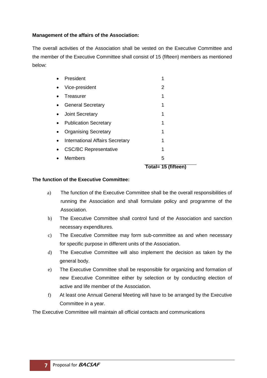## **Management of the affairs of the Association:**

The overall activities of the Association shall be vested on the Executive Committee and the member of the Executive Committee shall consist of 15 (fifteen) members as mentioned below:

|                                        | Total= 15 (fifteen) |
|----------------------------------------|---------------------|
| <b>Members</b>                         | 5                   |
| <b>CSC/BC Representative</b>           | 1                   |
| <b>International Affairs Secretary</b> | 1                   |
| <b>Organising Secretary</b>            |                     |
| <b>Publication Secretary</b>           | 1                   |
| <b>Joint Secretary</b>                 |                     |
| <b>General Secretary</b>               | 1                   |
| Treasurer                              | 1                   |
| Vice-president                         | 2                   |
| President                              |                     |

#### **The function of the Executive Committee:**

- a) The function of the Executive Committee shall be the overall responsibilities of running the Association and shall formulate policy and programme of the Association.
- b) The Executive Committee shall control fund of the Association and sanction necessary expenditures.
- c) The Executive Committee may form sub-committee as and when necessary for specific purpose in different units of the Association.
- d) The Executive Committee will also implement the decision as taken by the general body.
- e) The Executive Committee shall be responsible for organizing and formation of new Executive Committee either by selection or by conducting election of active and life member of the Association.
- f) At least one Annual General Meeting will have to be arranged by the Executive Committee in a year.

The Executive Committee will maintain all official contacts and communications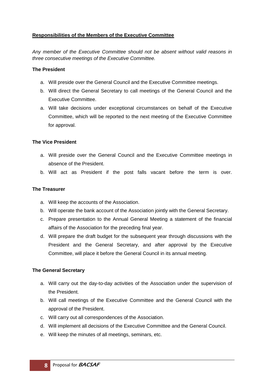# **Responsibilities of the Members of the Executive Committee**

*Any member of the Executive Committee should not be absent without valid reasons in three consecutive meetings of the Executive Committee.*

### **The President**

- a. Will preside over the General Council and the Executive Committee meetings.
- b. Will direct the General Secretary to call meetings of the General Council and the Executive Committee.
- a. Will take decisions under exceptional circumstances on behalf of the Executive Committee, which will be reported to the next meeting of the Executive Committee for approval.

### **The Vice President**

- a. Will preside over the General Council and the Executive Committee meetings in absence of the President.
- b. Will act as President if the post falls vacant before the term is over.

## **The Treasurer**

- a. Will keep the accounts of the Association.
- b. Will operate the bank account of the Association jointly with the General Secretary.
- c. Prepare presentation to the Annual General Meeting a statement of the financial affairs of the Association for the preceding final year.
- d. Will prepare the draft budget for the subsequent year through discussions with the President and the General Secretary, and after approval by the Executive Committee, will place it before the General Council in its annual meeting.

### **The General Secretary**

- a. Will carry out the day-to-day activities of the Association under the supervision of the President.
- b. Will call meetings of the Executive Committee and the General Council with the approval of the President.
- c. Will carry out all correspondences of the Association.
- d. Will implement all decisions of the Executive Committee and the General Council.
- e. Will keep the minutes of all meetings, seminars, etc.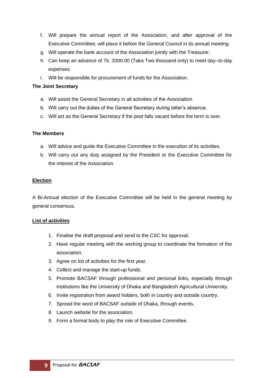- f. Will prepare the annual report of the Association, and after approval of the Executive Committee, will place it before the General Council in its annual meeting.
- g. Will operate the bank account of the Association jointly with the Treasurer.
- h. Can keep an advance of Tk. 2000.00 (Taka Two thousand only) to meet day–to-day expenses.
- i. Will be responsible for procurement of funds for the Association.

#### **The Joint Secretary**

- a. Will assist the General Secretary in all activities of the Association.
- b. Will carry out the duties of the General Secretary during latter's absence.
- c. Will act as the General Secretary if the post falls vacant before the term is over.

### **The Members**

- a. Will advice and guide the Executive Committee in the execution of its activities.
- b. Will carry out any duty assigned by the President or the Executive Committee for the interest of the Association.

### **Election**

A Bi-Annual election of the Executive Committee will be held in the general meeting by general consensus.

### **List of activities**

- 1. Finalise the draft proposal and send to the CSC for approval.
- 2. Have regular meeting with the working group to coordinate the formation of the association.
- 3. Agree on list of activities for the first year.
- 4. Collect and manage the start-up funds.
- 5. Promote BACSAF through professional and personal links, especially through institutions like the University of Dhaka and Bangladesh Agricultural University.
- 6. Invite registration from award holders, both in country and outside country.
- 7. Spread the word of BACSAF outside of Dhaka, through events.
- 8. Launch website for the association.
- 9. Form a formal body to play the role of Executive Committee.